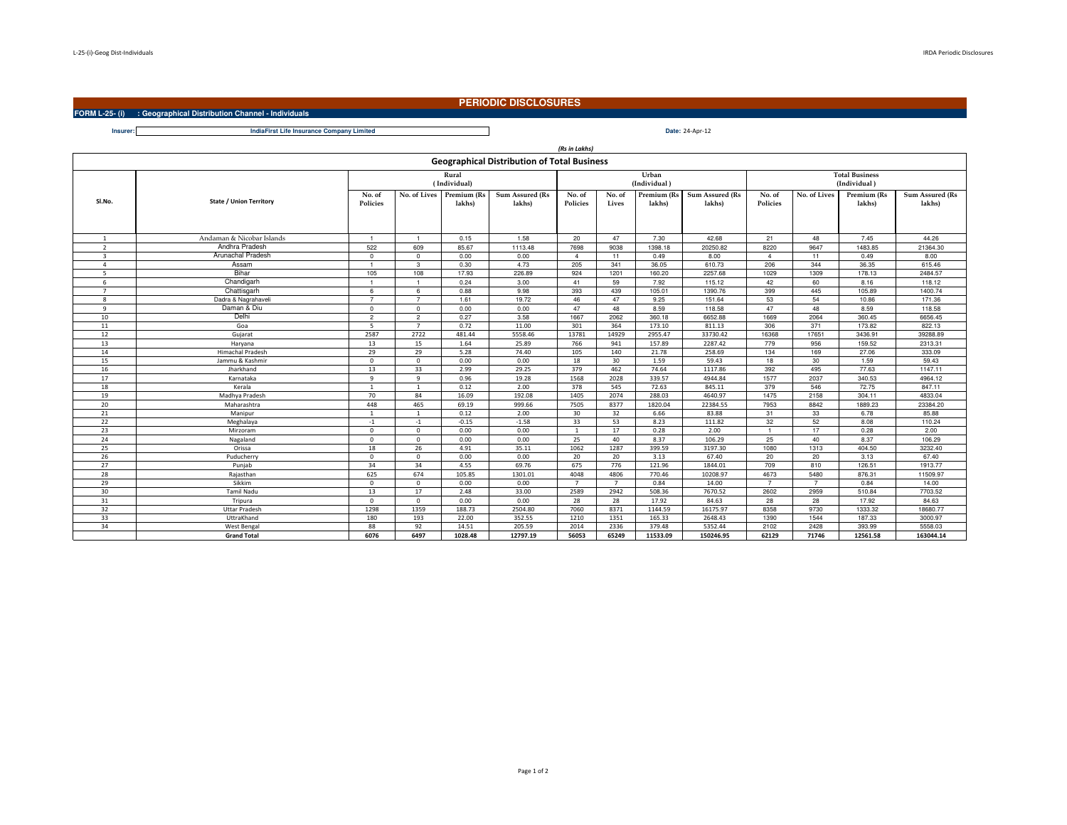**Insurer:**

## **PERIODIC DISCLOSURES**

**FORM L-25- (i) : Geographical Distribution Channel - Individuals**

 **Date:IndiaFirst Life Insurance Company LimitedDate: 24-Apr-12** 

|                                                    |                                |                           |                |                       |                           | (Rs in Lakhs)             |                       |                       |                           |                           |                                       |                       |                           |  |
|----------------------------------------------------|--------------------------------|---------------------------|----------------|-----------------------|---------------------------|---------------------------|-----------------------|-----------------------|---------------------------|---------------------------|---------------------------------------|-----------------------|---------------------------|--|
| <b>Geographical Distribution of Total Business</b> |                                |                           |                |                       |                           |                           |                       |                       |                           |                           |                                       |                       |                           |  |
|                                                    |                                | Rural<br>(Individual)     |                |                       |                           |                           | Urban<br>(Individual) |                       |                           |                           | <b>Total Business</b><br>(Individual) |                       |                           |  |
| SI.No.                                             | <b>State / Union Territory</b> | No. of<br><b>Policies</b> | No. of Lives   | Premium (Rs<br>lakhs) | Sum Assured (Rs<br>lakhs) | No. of<br><b>Policies</b> | No. of<br>Lives       | Premium (Rs<br>lakhs) | Sum Assured (Rs<br>lakhs) | No. of<br><b>Policies</b> | No. of Lives                          | Premium (Rs<br>lakhs) | Sum Assured (Rs<br>lakhs) |  |
| $\overline{1}$                                     | Andaman & Nicobar Islands      |                           | $\overline{1}$ | 0.15                  | 1.58                      | 20                        | 47                    | 7.30                  | 42.68                     | 21                        | 48                                    | 7.45                  | 44.26                     |  |
| $\overline{2}$                                     | Andhra Pradesh                 | 522                       | 609            | 85.67                 | 1113.48                   | 7698                      | 9038                  | 1398.18               | 20250.82                  | 8220                      | 9647                                  | 1483.85               | 21364.30                  |  |
| $\mathbf{3}$                                       | Arunachal Pradesh              | $\Omega$                  | $\Omega$       | 0.00                  | 0.00                      | $\overline{4}$            | 11                    | 0.49                  | 8.00                      | $\overline{4}$            | 11                                    | 0.49                  | 8.00                      |  |
| $\overline{a}$                                     | Assam                          | $\overline{1}$            | 3              | 0.30                  | 4.73                      | 205                       | 341                   | 36.05                 | 610.73                    | 206                       | 344                                   | 36.35                 | 615.46                    |  |
| 5                                                  | Bihar                          | 105                       | 108            | 17.93                 | 226.89                    | 924                       | 1201                  | 160.20                | 2257.68                   | 1029                      | 1309                                  | 178.13                | 2484.57                   |  |
| 6                                                  | Chandigarh                     |                           | $\overline{1}$ | 0.24                  | 3.00                      | 41                        | 59                    | 7.92                  | 115.12                    | 42                        | 60                                    | 8.16                  | 118.12                    |  |
| $\overline{7}$                                     | Chattisgarh                    | 6                         | 6              | 0.88                  | 9.98                      | 393                       | 439                   | 105.01                | 1390.76                   | 399                       | 445                                   | 105.89                | 1400.74                   |  |
| 8                                                  | Dadra & Nagrahaveli            | $\overline{7}$            | $\overline{7}$ | 1.61                  | 19.72                     | 46                        | 47                    | 9.25                  | 151.64                    | 53                        | 54                                    | 10.86                 | 171.36                    |  |
| 9                                                  | Daman & Diu                    | $^{\circ}$                | $\Omega$       | 0.00                  | 0.00                      | 47                        | 48                    | 8.59                  | 118.58                    | 47                        | 48                                    | 8.59                  | 118.58                    |  |
| 10                                                 | Delhi                          | $\overline{2}$            | $\overline{2}$ | 0.27                  | 3.58                      | 1667                      | 2062                  | 360.18                | 6652.88                   | 1669                      | 2064                                  | 360.45                | 6656.45                   |  |
| 11                                                 | Goa                            | 5 <sub>1</sub>            | $\overline{7}$ | 0.72                  | 11.00                     | 301                       | 364                   | 173.10                | 811.13                    | 306                       | 371                                   | 173.82                | 822.13                    |  |
| 12                                                 | Gujarat                        | 2587                      | 2722           | 481.44                | 5558.46                   | 13781                     | 14929                 | 2955.47               | 33730.42                  | 16368                     | 17651                                 | 3436.91               | 39288.89                  |  |
| 13                                                 | Haryana                        | 13                        | 15             | 1.64                  | 25.89                     | 766                       | 941                   | 157.89                | 2287.42                   | 779                       | 956                                   | 159.52                | 2313.31                   |  |
| 14                                                 | <b>Himachal Pradesh</b>        | 29                        | 29             | 5.28                  | 74.40                     | 105                       | 140                   | 21.78                 | 258.69                    | 134                       | 169                                   | 27.06                 | 333.09                    |  |
| 15                                                 | Jammu & Kashmir                | $\Omega$                  | $\Omega$       | 0.00                  | 0.00                      | 18                        | 30                    | 1.59                  | 59.43                     | 18                        | 30                                    | 1.59                  | 59.43                     |  |
| 16                                                 | Jharkhand                      | 13                        | 33             | 2.99                  | 29.25                     | 379                       | 462                   | 74.64                 | 1117.86                   | 392                       | 495                                   | 77.63                 | 1147.11                   |  |
| 17                                                 | Karnataka                      | 9                         | 9              | 0.96                  | 19.28                     | 1568                      | 2028                  | 339.57                | 4944.84                   | 1577                      | 2037                                  | 340.53                | 4964.12                   |  |
| 18                                                 | Kerala                         | $\mathbf{1}$              | $\mathbf{1}$   | 0.12                  | 2.00                      | 378                       | 545                   | 72.63                 | 845.11                    | 379                       | 546                                   | 72.75                 | 847.11                    |  |
| 19                                                 | Madhya Pradesh                 | 70                        | 84             | 16.09                 | 192.08                    | 1405                      | 2074                  | 288.03                | 4640.97                   | 1475                      | 2158                                  | 304.11                | 4833.04                   |  |
| 20                                                 | Maharashtra                    | 448                       | 465            | 69.19                 | 999.66                    | 7505                      | 8377                  | 1820.04               | 22384.55                  | 7953                      | 8842                                  | 1889.23               | 23384.20                  |  |
| 21                                                 | Manipur                        | $\overline{1}$            | $\mathbf{1}$   | 0.12                  | 2.00                      | 30                        | 32                    | 6.66                  | 83.88                     | 31                        | 33                                    | 6.78                  | 85.88                     |  |
| 22                                                 | Meghalaya                      | $-1$                      | $-1$           | $-0.15$               | $-1.58$                   | 33                        | 53                    | 8.23                  | 111.82                    | 32                        | 52                                    | 8.08                  | 110.24                    |  |
| 23                                                 | Mirzoram                       | $\Omega$                  | $\Omega$       | 0.00                  | 0.00                      | $\mathbf{1}$              | 17                    | 0.28                  | 2.00                      | $\overline{1}$            | 17                                    | 0.28                  | 2.00                      |  |
| 24                                                 | Nagaland                       | $\Omega$                  | $\Omega$       | 0.00                  | 0.00                      | 25                        | 40                    | 8.37                  | 106.29                    | 25                        | 40                                    | 8.37                  | 106.29                    |  |
| 25                                                 | Orissa                         | 18                        | 26             | 4.91                  | 35.11                     | 1062                      | 1287                  | 399.59                | 3197.30                   | 1080                      | 1313                                  | 404.50                | 3232.40                   |  |
| 26                                                 | Puducherry                     | $\Omega$                  | $\mathbf{0}$   | 0.00                  | 0.00                      | 20                        | 20                    | 3.13                  | 67.40                     | 20                        | 20                                    | 3.13                  | 67.40                     |  |
| 27                                                 | Puniab                         | 34                        | 34             | 4.55                  | 69.76                     | 675                       | 776                   | 121.96                | 1844.01                   | 709                       | 810                                   | 126.51                | 1913.77                   |  |
| 28                                                 | Rajasthan                      | 625                       | 674            | 105.85                | 1301.01                   | 4048                      | 4806                  | 770.46                | 10208.97                  | 4673                      | 5480                                  | 876.31                | 11509.97                  |  |
| 29                                                 | Sikkim                         | $\mathbf{0}$              | $\mathbf{0}$   | 0.00                  | 0.00                      | $\overline{7}$            | $\overline{7}$        | 0.84                  | 14.00                     | $\overline{7}$            | $\overline{7}$                        | 0.84                  | 14.00                     |  |
| 30                                                 | <b>Tamil Nadu</b>              | 13                        | 17             | 2.48                  | 33.00                     | 2589                      | 2942                  | 508.36                | 7670.52                   | 2602                      | 2959                                  | 510.84                | 7703.52                   |  |
| 31                                                 | Tripura                        | $\Omega$                  | $\Omega$       | 0.00                  | 0.00                      | 28                        | 28                    | 17.92                 | 84.63                     | 28                        | 28                                    | 17.92                 | 84.63                     |  |
| 32                                                 | <b>Uttar Pradesh</b>           | 1298                      | 1359           | 188.73                | 2504.80                   | 7060                      | 8371                  | 1144.59               | 16175.97                  | 8358                      | 9730                                  | 1333.32               | 18680.77                  |  |
| 33                                                 | UttraKhand                     | 180                       | 193            | 22.00                 | 352.55                    | 1210                      | 1351                  | 165.33                | 2648.43                   | 1390                      | 1544                                  | 187.33                | 3000.97                   |  |
| 34                                                 | West Bengal                    | 88                        | 92             | 14.51                 | 205.59                    | 2014                      | 2336                  | 379.48                | 5352.44                   | 2102                      | 2428                                  | 393.99                | 5558.03                   |  |
|                                                    | <b>Grand Total</b>             | 6076                      | 6497           | 1028.48               | 12797.19                  | 56053                     | 65249                 | 11533.09              | 150246.95                 | 62129                     | 71746                                 | 12561.58              | 163044.14                 |  |